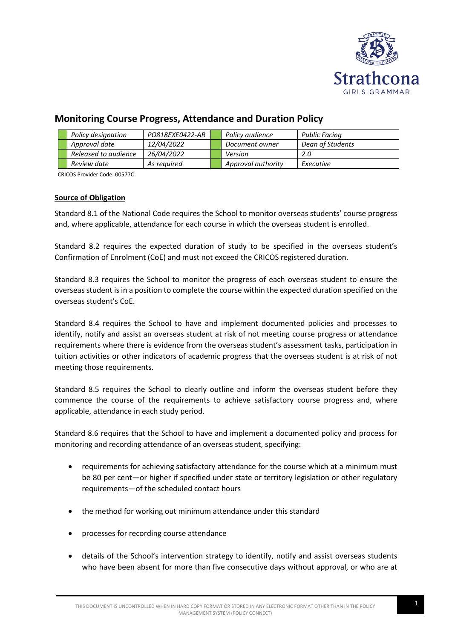

# **Monitoring Course Progress, Attendance and Duration Policy**

|  | Policy designation   | PO818EXE0422-AR | Policy audience    | Public Facing    |
|--|----------------------|-----------------|--------------------|------------------|
|  | Approval date        | 12/04/2022      | Document owner     | Dean of Students |
|  | Released to audience | 26/04/2022      | Version            | 2.0              |
|  | Review date          | As reauired     | Approval authority | Executive        |

CRICOS Provider Code: 00577C

# **Source of Obligation**

Standard 8.1 of the National Code requires the School to monitor overseas students' course progress and, where applicable, attendance for each course in which the overseas student is enrolled.

Standard 8.2 requires the expected duration of study to be specified in the overseas student's Confirmation of Enrolment (CoE) and must not exceed the CRICOS registered duration.

Standard 8.3 requires the School to monitor the progress of each overseas student to ensure the overseas student is in a position to complete the course within the expected duration specified on the overseas student's CoE.

Standard 8.4 requires the School to have and implement documented policies and processes to identify, notify and assist an overseas student at risk of not meeting course progress or attendance requirements where there is evidence from the overseas student's assessment tasks, participation in tuition activities or other indicators of academic progress that the overseas student is at risk of not meeting those requirements.

Standard 8.5 requires the School to clearly outline and inform the overseas student before they commence the course of the requirements to achieve satisfactory course progress and, where applicable, attendance in each study period.

Standard 8.6 requires that the School to have and implement a documented policy and process for monitoring and recording attendance of an overseas student, specifying:

- requirements for achieving satisfactory attendance for the course which at a minimum must be 80 per cent—or higher if specified under state or territory legislation or other regulatory requirements—of the scheduled contact hours
- the method for working out minimum attendance under this standard
- processes for recording course attendance
- details of the School's intervention strategy to identify, notify and assist overseas students who have been absent for more than five consecutive days without approval, or who are at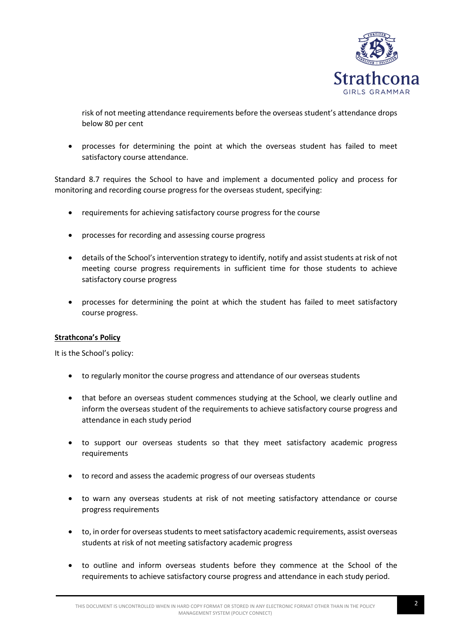

risk of not meeting attendance requirements before the overseas student's attendance drops below 80 per cent

• processes for determining the point at which the overseas student has failed to meet satisfactory course attendance.

Standard 8.7 requires the School to have and implement a documented policy and process for monitoring and recording course progress for the overseas student, specifying:

- requirements for achieving satisfactory course progress for the course
- processes for recording and assessing course progress
- details of the School'sintervention strategy to identify, notify and assist students at risk of not meeting course progress requirements in sufficient time for those students to achieve satisfactory course progress
- processes for determining the point at which the student has failed to meet satisfactory course progress.

#### **Strathcona's Policy**

It is the School's policy:

- to regularly monitor the course progress and attendance of our overseas students
- that before an overseas student commences studying at the School, we clearly outline and inform the overseas student of the requirements to achieve satisfactory course progress and attendance in each study period
- to support our overseas students so that they meet satisfactory academic progress requirements
- to record and assess the academic progress of our overseas students
- to warn any overseas students at risk of not meeting satisfactory attendance or course progress requirements
- to, in order for overseas students to meet satisfactory academic requirements, assist overseas students at risk of not meeting satisfactory academic progress
- to outline and inform overseas students before they commence at the School of the requirements to achieve satisfactory course progress and attendance in each study period.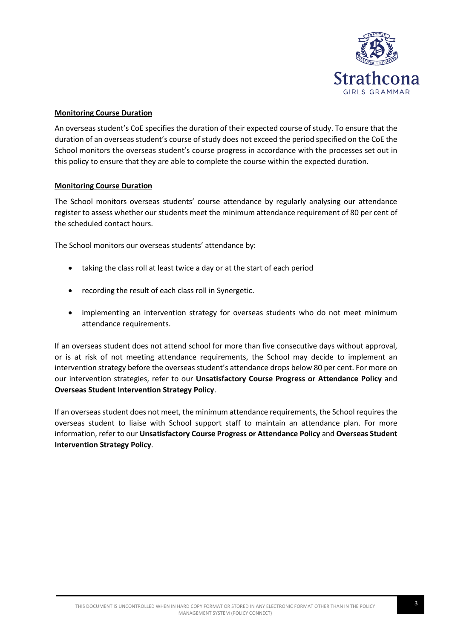

## **Monitoring Course Duration**

An overseas student's CoE specifies the duration of their expected course of study. To ensure that the duration of an overseas student's course of study does not exceed the period specified on the CoE the School monitors the overseas student's course progress in accordance with the processes set out in this policy to ensure that they are able to complete the course within the expected duration.

#### **Monitoring Course Duration**

The School monitors overseas students' course attendance by regularly analysing our attendance register to assess whether our students meet the minimum attendance requirement of 80 per cent of the scheduled contact hours.

The School monitors our overseas students' attendance by:

- taking the class roll at least twice a day or at the start of each period
- recording the result of each class roll in Synergetic.
- implementing an intervention strategy for overseas students who do not meet minimum attendance requirements.

If an overseas student does not attend school for more than five consecutive days without approval, or is at risk of not meeting attendance requirements, the School may decide to implement an intervention strategy before the overseas student's attendance drops below 80 per cent. For more on our intervention strategies, refer to our **Unsatisfactory Course Progress or Attendance Policy** and **Overseas Student Intervention Strategy Policy**.

If an overseas student does not meet, the minimum attendance requirements, the School requires the overseas student to liaise with School support staff to maintain an attendance plan. For more information, refer to our **Unsatisfactory Course Progress or Attendance Policy** and **Overseas Student Intervention Strategy Policy**.